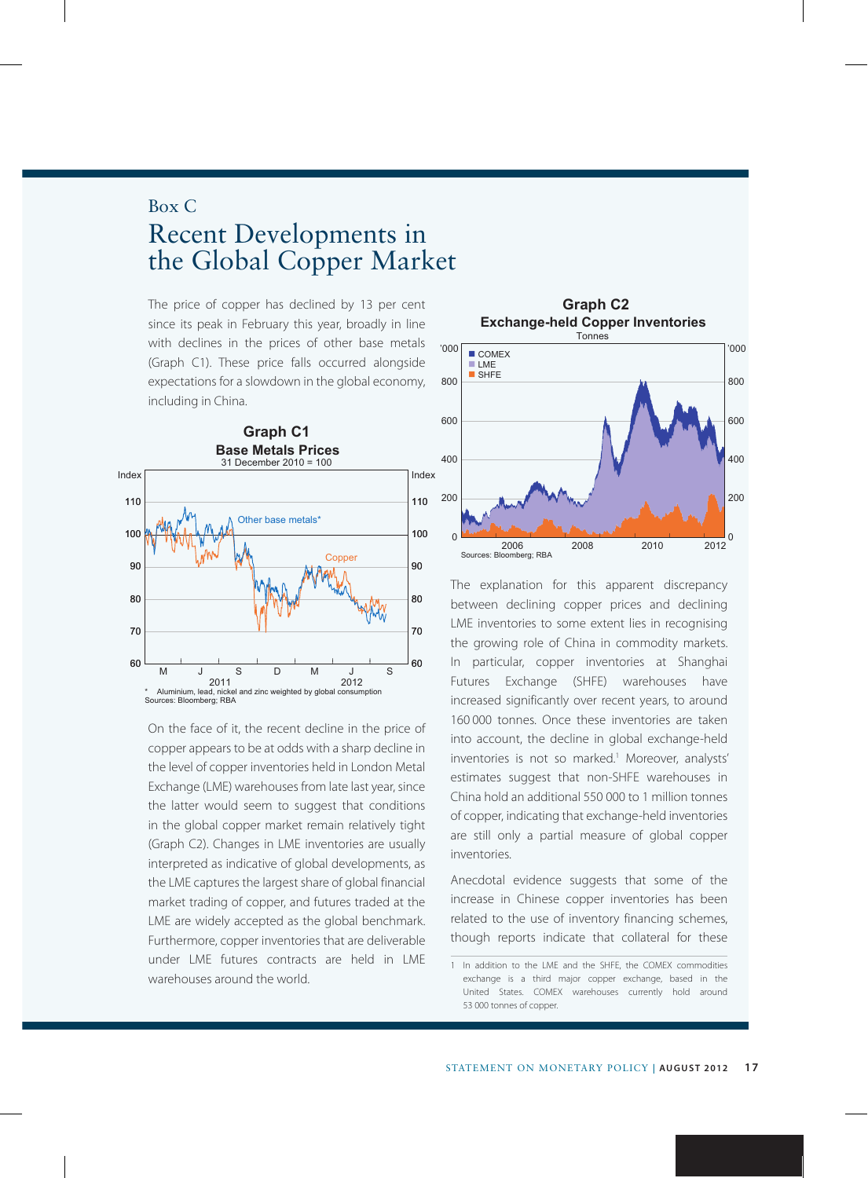## Box C Recent Developments in the Global Copper Market

The price of copper has declined by 13 per cent since its peak in February this year, broadly in line with declines in the prices of other base metals (Graph C1). These price falls occurred alongside expectations for a slowdown in the global economy, including in China.



On the face of it, the recent decline in the price of copper appears to be at odds with a sharp decline in the level of copper inventories held in London Metal Exchange (LME) warehouses from late last year, since the latter would seem to suggest that conditions in the global copper market remain relatively tight (Graph C2). Changes in LME inventories are usually interpreted as indicative of global developments, as the LME captures the largest share of global financial market trading of copper, and futures traded at the LME are widely accepted as the global benchmark. Furthermore, copper inventories that are deliverable under LME futures contracts are held in LME warehouses around the world.



The explanation for this apparent discrepancy between declining copper prices and declining LME inventories to some extent lies in recognising the growing role of China in commodity markets. In particular, copper inventories at Shanghai Futures Exchange (SHFE) warehouses have increased significantly over recent years, to around 160 000 tonnes. Once these inventories are taken into account, the decline in global exchange-held inventories is not so marked.<sup>1</sup> Moreover, analysts' estimates suggest that non-SHFE warehouses in China hold an additional 550 000 to 1 million tonnes of copper, indicating that exchange-held inventories are still only a partial measure of global copper inventories.

Anecdotal evidence suggests that some of the increase in Chinese copper inventories has been related to the use of inventory financing schemes, though reports indicate that collateral for these

<sup>1</sup> In addition to the LME and the SHFE, the COMEX commodities exchange is a third major copper exchange, based in the United States. COMEX warehouses currently hold around 53 000 tonnes of copper.